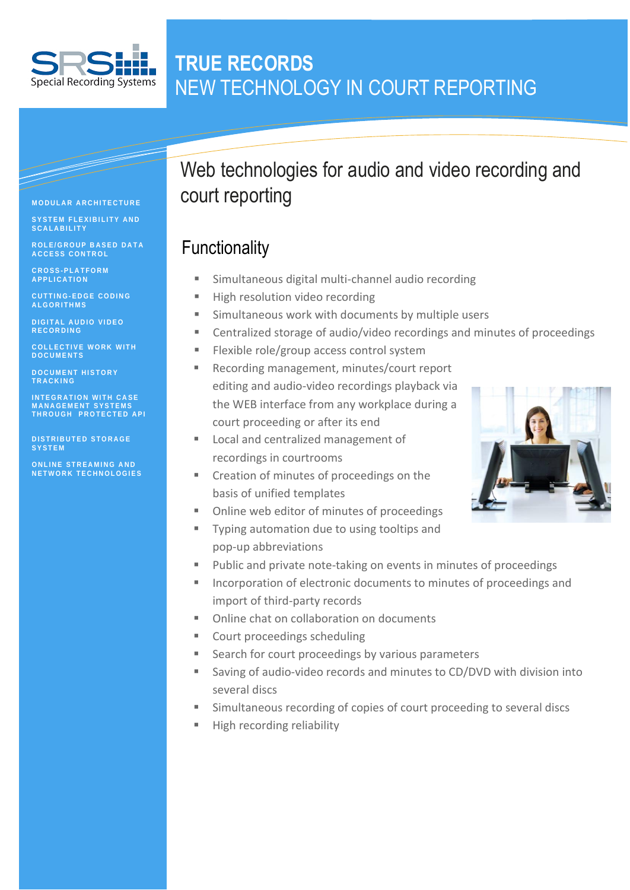

#### $\blacksquare$ Information  $\blacksquare$ **TRUE RECORDS** NEW TECHNOLOGY IN COURT REPORTING

#### **M O D U L A R A R C H I T E C T U R E**

**S Y S T E M F L E X I B I L I T Y A N D S C A L A B I L I T Y**

**R O L E / G R O U P B A S E D D A T A A C C E S S C O N T R O L** 

**C R O S S - P L A T F O R M A P P L I C A T I O N**

**C U T T I N G - E D G E C O D I N G A L G O R I T H M S**

**D I G I T A L A U D I O V I D E O R E C O R D I N G**

**C O L L E C T I V E W O R K W I T H D O C U M E N T S**

**D O C U M E N T H I S T O R Y T R A C K I N G** 

**I N T E G R A T I O N W I T H C A S E M A N A G E M E N T S Y S T E M S T H R O U G H P R O T E C T E D A P I** 

**DISTRIBUTED STORAGE S Y S T E M**

**O N L I N E S T R E A M I N G A N D N E T W O R K T E C H N O L O G I E S**

# Web technologies for audio and video recording and court reporting

### **Functionality**

- Simultaneous digital multi-channel audio recording
- High resolution video recording
- Simultaneous work with documents by multiple users
- Centralized storage of audio/video recordings and minutes of proceedings
- Flexible role/group access control system
- Recording management, minutes/court report editing and audio-video recordings playback via the WEB interface from any workplace during a court proceeding or after its end
- Local and centralized management of recordings in courtrooms
- **EXECT** Creation of minutes of proceedings on the basis of unified templates
- Online web editor of minutes of proceedings
- Typing automation due to using tooltips and pop-up abbreviations
- Public and private note-taking on events in minutes of proceedings
- **Incorporation of electronic documents to minutes of proceedings and** import of third-party records
- Online chat on collaboration on documents
- Court proceedings scheduling
- Search for court proceedings by various parameters
- Saving of audio-video records and minutes to CD/DVD with division into several discs
- Simultaneous recording of copies of court proceeding to several discs
- High recording reliability